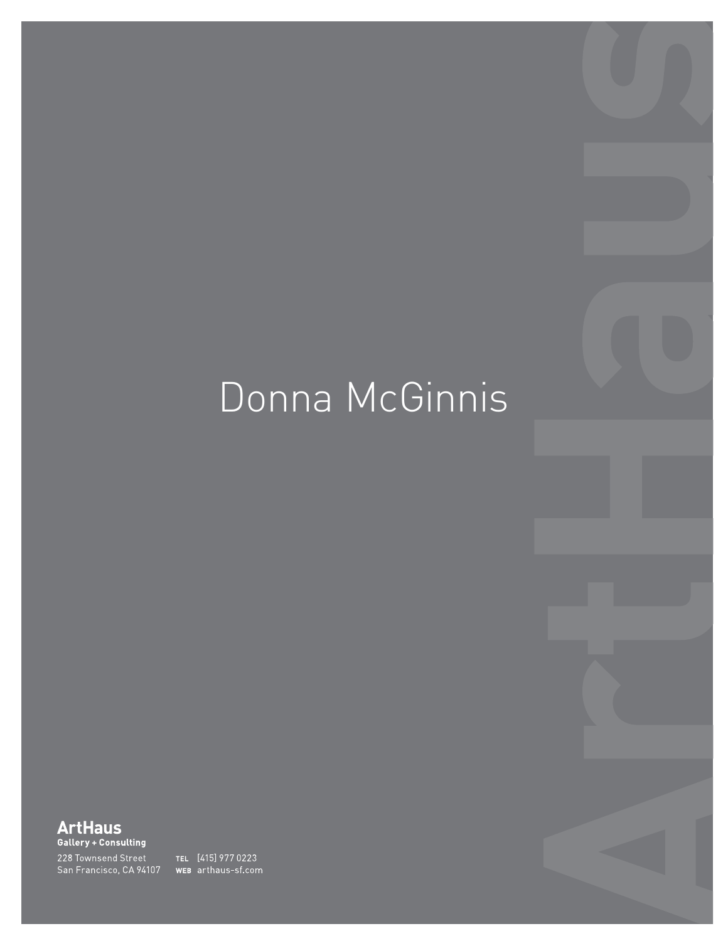# Donna McGinnis

 $\overline{1}$ 11 Brannan Street Brannan Street Brannan Street Brannan Street Brannan Street Brannan Street Brannan Street Brannan Street Brannan Street Brannan Street Brannan Street Brannan Street Brannan Street Brannan Street San Francisco, CA 94107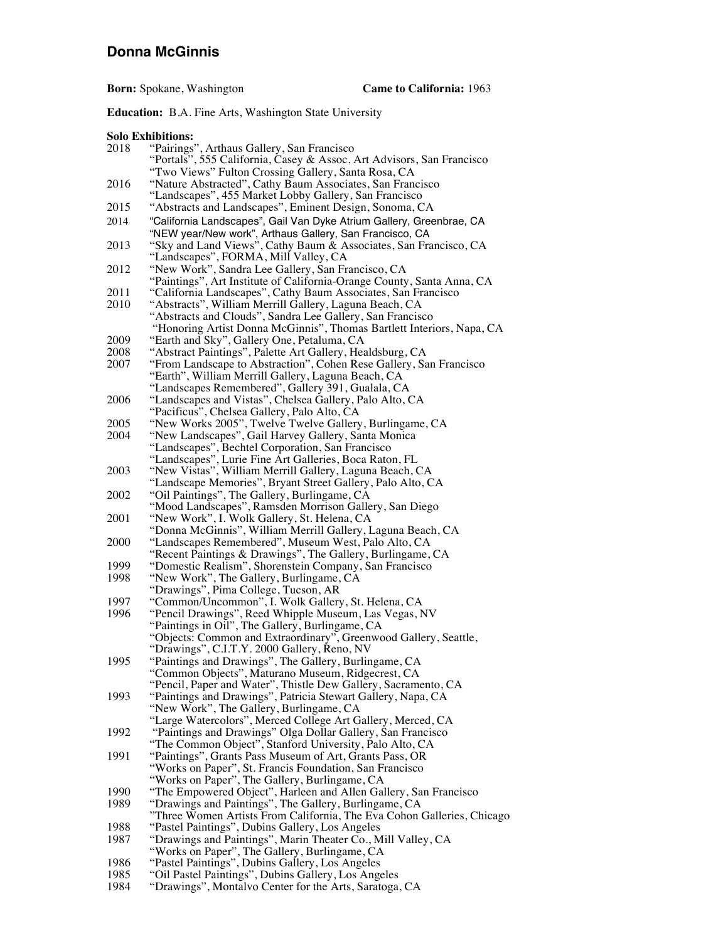### **Donna McGinnis**

**Born:** Spokane, Washington **Came to California:** 1963

**Education:** B.A. Fine Arts, Washington State University

**Solo Exhibitions:**

|      | <b>SOIO EXHIDIUOIIS:</b>                                                                                                       |  |  |
|------|--------------------------------------------------------------------------------------------------------------------------------|--|--|
| 2018 | "Pairings", Arthaus Gallery, San Francisco                                                                                     |  |  |
|      | "Portals", 555 California, Casey & Assoc. Art Advisors, San Francisco                                                          |  |  |
|      | "Two Views" Fulton Crossing Gallery, Santa Rosa, CA                                                                            |  |  |
| 2016 | "Nature Abstracted", Cathy Baum Associates, San Francisco                                                                      |  |  |
|      | "Landscapes", 455 Market Lobby Gallery, San Francisco                                                                          |  |  |
| 2015 | "Abstracts and Landscapes", Eminent Design, Sonoma, CA                                                                         |  |  |
|      |                                                                                                                                |  |  |
| 2014 | "California Landscapes", Gail Van Dyke Atrium Gallery, Greenbrae, CA                                                           |  |  |
|      | "NEW year/New work", Arthaus Gallery, San Francisco, CA                                                                        |  |  |
| 2013 | "Sky and Land Views", Cathy Baum & Associates, San Francisco, CA                                                               |  |  |
|      | "Landscapes", FORMA, Mill Valley, CA                                                                                           |  |  |
| 2012 | "New Work", Sandra Lee Gallery, San Francisco, CA                                                                              |  |  |
|      | "Paintings", Art Institute of California-Orange County, Santa Anna, CA                                                         |  |  |
| 2011 | "California Landscapes", Cathy Baum Associates, San Francisco                                                                  |  |  |
| 2010 | "Abstracts", William Merrill Gallery, Laguna Beach, CA                                                                         |  |  |
|      | "Abstracts and Clouds", Sandra Lee Gallery, San Francisco                                                                      |  |  |
|      | "Honoring Artist Donna McGinnis", Thomas Bartlett Interiors, Napa, CA                                                          |  |  |
| 2009 | "Earth and Sky", Gallery One, Petaluma, CA                                                                                     |  |  |
|      |                                                                                                                                |  |  |
| 2008 | "Abstract Paintings", Palette Art Gallery, Healdsburg, CA                                                                      |  |  |
| 2007 | "From Landscape to Abstraction", Cohen Rese Gallery, San Francisco                                                             |  |  |
|      | "Earth", William Merrill Gallery, Laguna Beach, CA                                                                             |  |  |
|      | "Landscapes Remembered", Gallery 391, Gualala, CA                                                                              |  |  |
| 2006 | "Landscapes and Vistas", Chelsea Gallery, Palo Alto, CA                                                                        |  |  |
|      | "Pacificus", Chelsea Gallery, Palo Alto, CA                                                                                    |  |  |
| 2005 | "New Works 2005", Twelve Twelve Gallery, Burlingame, CA                                                                        |  |  |
| 2004 | "New Landscapes", Gail Harvey Gallery, Santa Monica                                                                            |  |  |
|      | "Landscapes", Bechtel Corporation, San Francisco                                                                               |  |  |
|      | "Landscapes", Lurie Fine Art Galleries, Boca Raton, FL                                                                         |  |  |
| 2003 | "New Vistas", William Merrill Gallery, Laguna Beach, CA                                                                        |  |  |
|      | "Landscape Memories", Bryant Street Gallery, Palo Alto, CA                                                                     |  |  |
| 2002 | "Oil Paintings", The Gallery, Burlingame, CA                                                                                   |  |  |
|      | "Mood Landscapes", Ramsden Morrison Gallery, San Diego                                                                         |  |  |
| 2001 |                                                                                                                                |  |  |
|      | "New Work", I. Wolk Gallery, St. Helena, CA                                                                                    |  |  |
|      | "Donna McGinnis", William Merrill Gallery, Laguna Beach, CA                                                                    |  |  |
| 2000 | "Landscapes Remembered", Museum West, Palo Alto, CA                                                                            |  |  |
|      | "Recent Paintings & Drawings", The Gallery, Burlingame, CA                                                                     |  |  |
| 1999 | "Domestic Realism", Shorenstein Company, San Francisco                                                                         |  |  |
| 1998 | "New Work", The Gallery, Burlingame, CA                                                                                        |  |  |
|      | "Drawings", Pima College, Tucson, AR                                                                                           |  |  |
| 1997 | "Common/Uncommon", I. Wolk Gallery, St. Helena, CA                                                                             |  |  |
| 1996 | "Pencil Drawings", Reed Whipple Museum, Las Vegas, NV                                                                          |  |  |
|      | "Paintings in Oil", The Gallery, Burlingame, CA                                                                                |  |  |
|      | "Objects: Common and Extraordinary", Greenwood Gallery, Seattle,                                                               |  |  |
|      | "Drawings", C.I.T.Y. 2000 Gallery, Reno, NV                                                                                    |  |  |
| 1995 | "Paintings and Drawings", The Gallery, Burlingame, CA                                                                          |  |  |
|      | "Common Objects", Maturano Museum, Ridgecrest, CA                                                                              |  |  |
|      |                                                                                                                                |  |  |
|      | "Pencil, Paper and Water", Thistle Dew Gallery, Sacramento, CA<br>"Paintings and Drawings", Patricia Stewart Gallery, Napa, CA |  |  |
| 1993 |                                                                                                                                |  |  |
|      | "New Work", The Gallery, Burlingame, CA                                                                                        |  |  |
|      | "Large Watercolors", Merced College Art Gallery, Merced, CA                                                                    |  |  |
| 1992 | "Paintings and Drawings" Olga Dollar Gallery, San Francisco                                                                    |  |  |
|      | "The Common Object", Stanford University, Palo Alto, CA                                                                        |  |  |
| 1991 | "Paintings", Grants Pass Museum of Art, Grants Pass, OR                                                                        |  |  |
|      | "Works on Paper", St. Francis Foundation, San Francisco                                                                        |  |  |
|      | "Works on Paper", The Gallery, Burlingame, CA                                                                                  |  |  |
| 1990 | "The Empowered Object", Harleen and Allen Gallery, San Francisco<br>"Drawings and Paintings", The Gallery, Burlingame, CA      |  |  |
| 1989 |                                                                                                                                |  |  |
|      | "Three Women Artists From California, The Eva Cohon Galleries, Chicago                                                         |  |  |
| 1988 | "Pastel Paintings", Dubins Gallery, Los Angeles                                                                                |  |  |
| 1987 | "Drawings and Paintings", Marin Theater Co., Mill Valley, CA                                                                   |  |  |
|      | "Works on Paper", The Gallery, Burlingame, CA                                                                                  |  |  |
| 1986 | "Pastel Paintings", Dubins Gallery, Los Angeles                                                                                |  |  |
| 1985 | "Oil Pastel Paintings", Dubins Gallery, Los Angeles                                                                            |  |  |
| 1984 | "Drawings", Montalvo Center for the Arts, Saratoga, CA                                                                         |  |  |
|      |                                                                                                                                |  |  |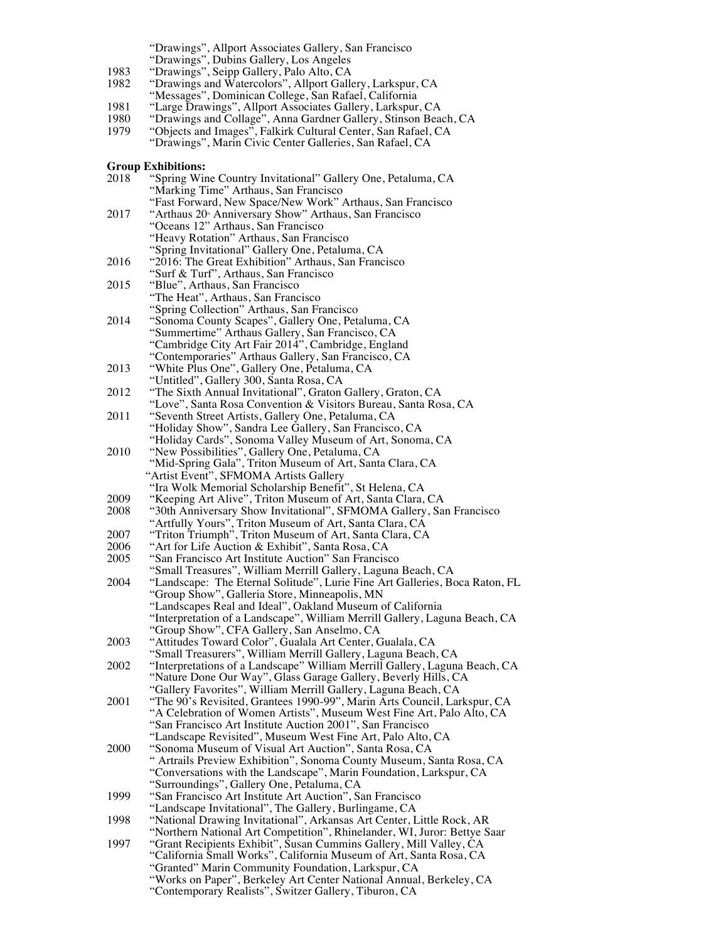"Drawings", Allport Associates Gallery, San Francisco

- "Drawings", Dubins Gallery, Los Angeles
- 1983 "Drawings", Seipp Gallery, Palo Alto, CA
- 1982 "Drawings and Watercolors", Allport Gallery, Larkspur, CA "Messages", Dominican College, San Rafael, California
- 1981 "Large Drawings", Allport Associates Gallery, Larkspur, CA
- 1980 "Drawings and Collage", Anna Gardner Gallery, Stinson Beach, CA
- 1979 "Objects and Images", Falkirk Cultural Center, San Rafael, CA "Drawings", Marin Civic Center Galleries, San Rafael, CA

#### **Group Exhibitions:**

| 2018 | "Spring Wine Country Invitational" Gallery One, Petaluma, CA                |
|------|-----------------------------------------------------------------------------|
|      | "Marking Time" Arthaus, San Francisco                                       |
|      | "Fast Forward, New Space/New Work" Arthaus, San Francisco                   |
| 2017 | "Arthaus 20 <sup>®</sup> Anniversary Show" Arthaus, San Francisco           |
|      | "Oceans 12" Arthaus, San Francisco                                          |
|      | "Heavy Rotation" Arthaus, San Francisco                                     |
|      |                                                                             |
|      | "Spring Invitational" Gallery One, Petaluma, CA                             |
| 2016 | "2016: The Great Exhibition" Arthaus, San Francisco                         |
|      | "Surf & Turf", Arthaus, San Francisco                                       |
| 2015 | "Blue", Arthaus, San Francisco                                              |
|      | "The Heat", Arthaus, San Francisco                                          |
|      | "Spring Collection" Arthaus, San Francisco                                  |
| 2014 | "Sonoma County Scapes", Gallery One, Petaluma, CA                           |
|      | "Summertime" Arthaus Gallery, San Francisco, CA                             |
|      | "Cambridge City Art Fair 2014", Cambridge, England                          |
|      | "Contemporaries" Arthaus Gallery, San Francisco, CA                         |
| 2013 | "White Plus One", Gallery One, Petaluma, CA                                 |
|      | "Untitled", Gallery 300, Santa Rosa, CA                                     |
| 2012 | "The Sixth Annual Invitational", Graton Gallery, Graton, CA                 |
|      | "Love", Santa Rosa Convention & Visitors Bureau, Santa Rosa, CA             |
| 2011 | "Seventh Street Artists, Gallery One, Petaluma, CA                          |
|      | "Holiday Show", Sandra Lee Gallery, San Francisco, CA                       |
|      |                                                                             |
|      | "Holiday Cards", Sonoma Valley Museum of Art, Sonoma, CA                    |
| 2010 | "New Possibilities", Gallery One, Petaluma, CA                              |
|      | "Mid-Spring Gala", Triton Museum of Art, Santa Clara, CA                    |
|      | "Artist Event", SFMOMA Artists Gallery                                      |
|      | "Ira Wolk Memorial Scholarship Benefit", St Helena, CA                      |
| 2009 | "Keeping Art Alive", Triton Museum of Art, Santa Clara, CA                  |
| 2008 | "30th Anniversary Show Invitational", SFMOMA Gallery, San Francisco         |
|      | "Artfully Yours", Triton Museum of Art, Santa Clara, CA                     |
| 2007 | "Triton Triumph", Triton Museum of Art, Santa Clara, CA                     |
| 2006 | "Art for Life Auction & Exhibit", Santa Rosa, CA                            |
| 2005 | "San Francisco Art Institute Auction" San Francisco                         |
|      | "Small Treasures", William Merrill Gallery, Laguna Beach, CA                |
| 2004 | "Landscape: The Eternal Solitude", Lurie Fine Art Galleries, Boca Raton, FL |
|      | "Group Show", Galleria Store, Minneapolis, MN                               |
|      | "Landscapes Real and Ideal", Oakland Museum of California                   |
|      | "Interpretation of a Landscape", William Merrill Gallery, Laguna Beach, CA  |
|      | "Group Show", CFA Gallery, San Anselmo, CA                                  |
| 2003 | "Attitudes Toward Color", Gualala Art Center, Gualala, CA                   |
|      | "Small Treasurers", William Merrill Gallery, Laguna Beach, CA               |
| 2002 | "Interpretations of a Landscape" William Merrill Gallery, Laguna Beach, CA  |
|      | "Nature Done Our Way", Glass Garage Gallery, Beverly Hills, CA              |
|      | "Gallery Favorites", William Merrill Gallery, Laguna Beach, CA              |
| 2001 | "The 90's Revisited, Grantees 1990-99", Marin Arts Council, Larkspur, CA    |
|      | "A Celebration of Women Artists", Museum West Fine Art, Palo Alto, CA       |
|      | "San Francisco Art Institute Auction 2001", San Francisco                   |
|      | "Landscape Revisited", Museum West Fine Art, Palo Alto, CA                  |
| 2000 | "Sonoma Museum of Visual Art Auction", Santa Rosa, CA                       |
|      | " Artrails Preview Exhibition", Sonoma County Museum, Santa Rosa, CA        |
|      | "Conversations with the Landscape", Marin Foundation, Larkspur, CA          |
|      | "Surroundings", Gallery One, Petaluma, CA                                   |
| 1999 |                                                                             |
|      | "San Francisco Art Institute Art Auction", San Francisco                    |
|      | "Landscape Invitational", The Gallery, Burlingame, CA                       |
| 1998 | "National Drawing Invitational", Arkansas Art Center, Little Rock, AR       |
|      | "Northern National Art Competition", Rhinelander, WI, Juror: Bettye Saar    |
| 1997 | "Grant Recipients Exhibit", Susan Cummins Gallery, Mill Valley, CA          |
|      | "California Small Works", California Museum of Art, Santa Rosa, CA          |
|      | "Granted" Marin Community Foundation, Larkspur, CA                          |
|      | "Works on Paper", Berkeley Art Center National Annual, Berkeley, CA         |
|      | "Contemporary Realists", Switzer Gallery, Tiburon, CA                       |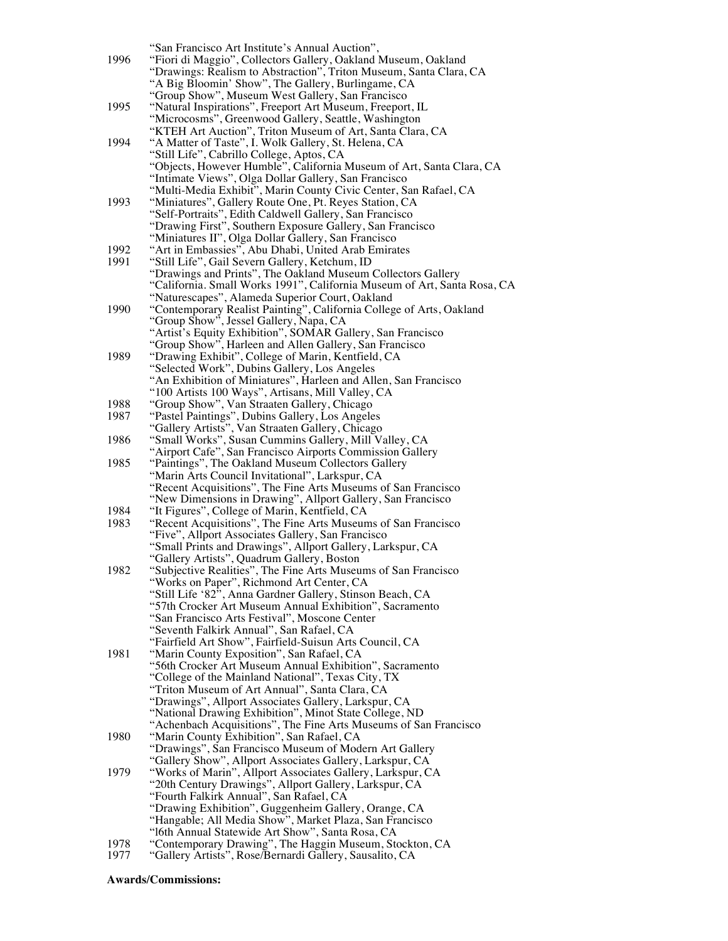|      | "San Francisco Art Institute's Annual Auction",                          |
|------|--------------------------------------------------------------------------|
| 1996 | "Fiori di Maggio", Collectors Gallery, Oakland Museum, Oakland           |
|      | "Drawings: Realism to Abstraction", Triton Museum, Santa Clara, CA       |
|      |                                                                          |
|      | "A Big Bloomin' Show", The Gallery, Burlingame, CA                       |
|      | "Group Show", Museum West Gallery, San Francisco                         |
| 1995 | "Natural Inspirations", Freeport Art Museum, Freeport, IL                |
|      | "Microcosms", Greenwood Gallery, Seattle, Washington                     |
|      | "KTEH Art Auction", Triton Museum of Art, Santa Clara, CA                |
| 1994 | "A Matter of Taste", I. Wolk Gallery, St. Helena, CA                     |
|      | "Still Life", Cabrillo College, Aptos, CA                                |
|      | "Objects, However Humble", California Museum of Art, Santa Clara, CA     |
|      | "Intimate Views", Olga Dollar Gallery, San Francisco                     |
|      | "Multi-Media Exhibit", Marin County Civic Center, San Rafael, CA         |
| 1993 |                                                                          |
|      | "Miniatures", Gallery Route One, Pt. Reyes Station, CA                   |
|      | "Self-Portraits", Edith Caldwell Gallery, San Francisco                  |
|      | "Drawing First", Southern Exposure Gallery, San Francisco                |
|      | "Miniatures II", Olga Dollar Gallery, San Francisco                      |
| 1992 | "Art in Embassies", Abu Dhabi, United Arab Emirates                      |
| 1991 | "Still Life", Gail Severn Gallery, Ketchum, ID                           |
|      | "Drawings and Prints", The Oakland Museum Collectors Gallery             |
|      | "California. Small Works 1991", California Museum of Art, Santa Rosa, CA |
|      | "Naturescapes", Alameda Superior Court, Oakland                          |
| 1990 | "Contemporary Realist Painting", California College of Arts, Oakland     |
|      |                                                                          |
|      | "Group Show", Jessel Gallery, Napa, CA                                   |
|      | "Artist's Equity Exhibition", SOMAR Gallery, San Francisco               |
|      | "Group Show", Harleen and Allen Gallery, San Francisco                   |
| 1989 | "Drawing Exhibit", College of Marin, Kentfield, CA                       |
|      | "Selected Work", Dubins Gallery, Los Angeles                             |
|      | "An Exhibition of Miniatures", Harleen and Allen, San Francisco          |
|      | "100 Artists 100 Ways", Artisans, Mill Valley, CA                        |
| 1988 | "Group Show", Van Straaten Gallery, Chicago                              |
| 1987 | "Pastel Paintings", Dubins Gallery, Los Angeles                          |
|      | "Gallery Artists", Van Straaten Gallery, Chicago                         |
| 1986 |                                                                          |
|      | "Small Works", Susan Cummins Gallery, Mill Valley, CA                    |
|      | "Airport Cafe", San Francisco Airports Commission Gallery                |
| 1985 | "Paintings", The Oakland Museum Collectors Gallery                       |
|      | "Marin Arts Council Invitational", Larkspur, CA                          |
|      | "Recent Acquisitions", The Fine Arts Museums of San Francisco            |
|      | "New Dimensions in Drawing", Allport Gallery, San Francisco              |
| 1984 | "It Figures", College of Marin, Kentfield, CA                            |
| 1983 | "Recent Acquisitions", The Fine Arts Museums of San Francisco            |
|      | "Five", Allport Associates Gallery, San Francisco                        |
|      | "Small Prints and Drawings", Allport Gallery, Larkspur, CA               |
|      | "Gallery Artists", Quadrum Gallery, Boston                               |
| 1982 | "Subjective Realities", The Fine Arts Museums of San Francisco           |
|      |                                                                          |
|      | "Works on Paper", Richmond Art Center, CA                                |
|      | "Still Life '82", Anna Gardner Gallery, Stinson Beach, CA                |
|      | "57th Crocker Art Museum Annual Exhibition", Sacramento                  |
|      | "San Francisco Arts Festival", Moscone Center                            |
|      | "Seventh Falkirk Annual", San Rafael, CA                                 |
|      | "Fairfield Art Show", Fairfield-Suisun Arts Council, CA                  |
| 1981 | "Marin County Exposition", San Rafael, CA                                |
|      | "56th Crocker Art Museum Annual Exhibition", Sacramento                  |
|      | "College of the Mainland National", Texas City, TX                       |
|      | "Triton Museum of Art Annual", Santa Clara, CA                           |
|      |                                                                          |
|      | "Drawings", Allport Associates Gallery, Larkspur, CA                     |
|      | "National Drawing Exhibition", Minot State College, ND                   |
|      | "Achenbach Acquisitions", The Fine Arts Museums of San Francisco         |
| 1980 | "Marin County Exhibition", San Rafael, CA                                |
|      | "Drawings", San Francisco Museum of Modern Art Gallery                   |
|      | "Gallery Show", Allport Associates Gallery, Larkspur, CA                 |
| 1979 | "Works of Marin", Allport Associates Gallery, Larkspur, CA               |
|      | "20th Century Drawings", Allport Gallery, Larkspur, CA                   |
|      | "Fourth Falkirk Annual", San Rafael, CA                                  |
|      | "Drawing Exhibition", Guggenheim Gallery, Orange, CA                     |
|      | "Hangable; All Media Show", Market Plaza, San Francisco                  |
|      | "16th Annual Statewide Art Show", Santa Rosa, CA                         |
|      |                                                                          |
| 1978 | "Contemporary Drawing", The Haggin Museum, Stockton, CA                  |
| 1977 | "Gallery Artists", Rose/Bernardi Gallery, Sausalito, CA                  |

#### **Awards/Commissions:**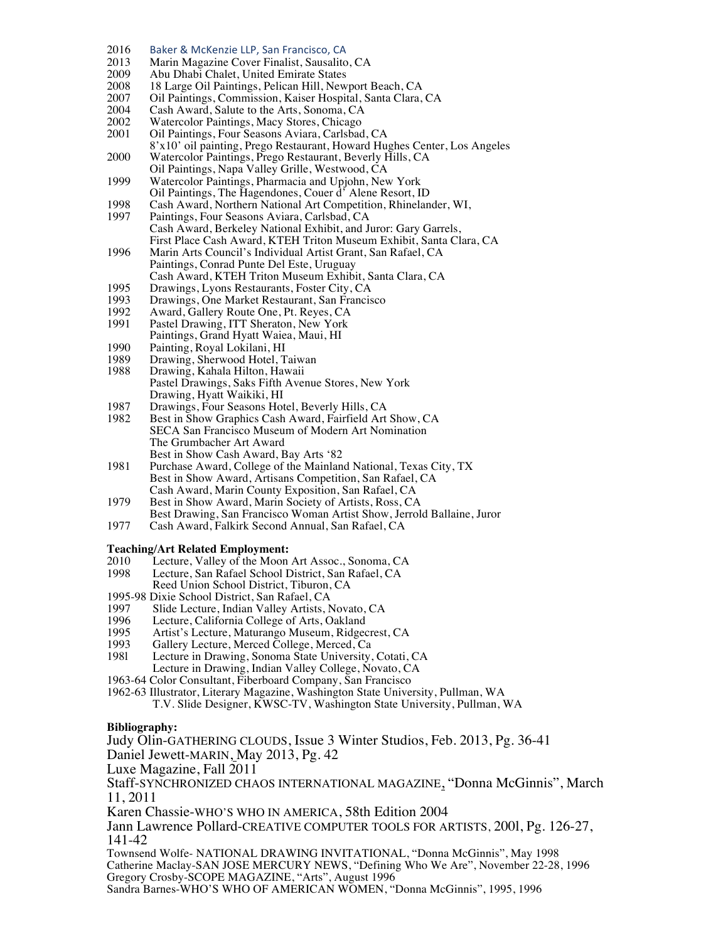- 2016 Baker & McKenzie LLP, San Francisco, CA<br>2013 Marin Magazine Cover Finalist. Sausalito
- 2013 Marin Magazine Cover Finalist, Sausalito, CA<br>2009 Abu Dhabi Chalet, United Emirate States
- 2009 Abu Dhabi Chalet, United Emirate States<br>2008 18 Large Oil Paintings, Pelican Hill, New
- 2008 18 Large Oil Paintings, Pelican Hill, Newport Beach, CA<br>2007 Oil Paintings, Commission, Kaiser Hospital, Santa Clara,
- 2007 Oil Paintings, Commission, Kaiser Hospital, Santa Clara, CA<br>2004 Cash Award, Salute to the Arts, Sonoma, CA
- Cash Award, Salute to the Arts, Sonoma, CA
- 2002 Watercolor Paintings, Macy Stores, Chicago<br>2001 Oil Paintings, Four Seasons Aviara, Carlsbad
- Oil Paintings, Four Seasons Aviara, Carlsbad, CA
- 8'x10' oil painting, Prego Restaurant, Howard Hughes Center, Los Angeles 2000 Watercolor Paintings, Prego Restaurant, Beverly Hills, CA
- Oil Paintings, Napa Valley Grille, Westwood, CA
- 1999 Watercolor Paintings, Pharmacia and Upjohn, New York Oil Paintings, The Hagendones, Couer d' Alene Resort, ID
- 
- 1998 Cash Award, Northern National Art Competition, Rhinelander, WI, 1997 Paintings, Four Seasons Aviara, Carlsbad, CA Paintings, Four Seasons Aviara, Carlsbad, CA Cash Award, Berkeley National Exhibit, and Juror: Gary Garrels, First Place Cash Award, KTEH Triton Museum Exhibit, Santa Clara, CA
- 1996 Marin Arts Council's Individual Artist Grant, San Rafael, CA Paintings, Conrad Punte Del Este, Uruguay Cash Award, KTEH Triton Museum Exhibit, Santa Clara, CA
- 
- 1995 Drawings, Lyons Restaurants, Foster City, CA<br>1993 Drawings, One Market Restaurant, San Francis
- 1993 Drawings, One Market Restaurant, San Francisco<br>1992 Award, Gallery Route One, Pt. Reyes, CA
- 1992 Award, Gallery Route One, Pt. Reyes, CA<br>1991 Pastel Drawing, ITT Sheraton, New York Pastel Drawing, ITT Sheraton, New York
- Paintings, Grand Hyatt Waiea, Maui, HI
- 
- 1990 Painting, Royal Lokilani, HI<br>1989 Drawing, Sherwood Hotel, T
- 1989 Drawing, Sherwood Hotel, Taiwan<br>1988 Drawing, Kahala Hilton, Hawaii Drawing, Kahala Hilton, Hawaii Pastel Drawings, Saks Fifth Avenue Stores, New York Drawing, Hyatt Waikiki, HI
- 1987 Drawings, Four Seasons Hotel, Beverly Hills, CA<br>1982 Best in Show Graphics Cash Award, Fairfield Art
- Best in Show Graphics Cash Award, Fairfield Art Show, CA SECA San Francisco Museum of Modern Art Nomination The Grumbacher Art Award Best in Show Cash Award, Bay Arts '82
- 1981 Purchase Award, College of the Mainland National, Texas City, TX Best in Show Award, Artisans Competition, San Rafael, CA Cash Award, Marin County Exposition, San Rafael, CA
- 1979 Best in Show Award, Marin Society of Artists, Ross, CA
- Best Drawing, San Francisco Woman Artist Show, Jerrold Ballaine, Juror
- 1977 Cash Award, Falkirk Second Annual, San Rafael, CA

## **Teaching/Art Related Employment:**

- 2010 Lecture, Valley of the Moon Art Assoc., Sonoma, CA<br>1998 Lecture, San Rafael School District, San Rafael, CA Lecture, San Rafael School District, San Rafael, CA
- Reed Union School District, Tiburon, CA
- 1995-98 Dixie School District, San Rafael, CA<br>1997 Slide Lecture, Indian Valley Artists, I
- 1997 Slide Lecture, Indian Valley Artists, Novato, CA<br>1996 Lecture, California College of Arts, Oakland
- 1996 Lecture, California College of Arts, Oakland<br>1995 Artist's Lecture, Maturango Museum, Ridgee
- 1995 Artist's Lecture, Maturango Museum, Ridgecrest, CA<br>1993 Gallery Lecture, Merced College, Merced, Ca
- 1993 Gallery Lecture, Merced College, Merced, Ca<br>1981 Lecture in Drawing, Sonoma State University
- Lecture in Drawing, Sonoma State University, Cotati, CA Lecture in Drawing, Indian Valley College, Novato, CA
- 1963-64 Color Consultant, Fiberboard Company, San Francisco
- 1962-63 Illustrator, Literary Magazine, Washington State University, Pullman, WA T.V. Slide Designer, KWSC-TV, Washington State University, Pullman, WA

#### **Bibliography:**

Judy Olin-GATHERING CLOUDS, Issue 3 Winter Studios, Feb. 2013, Pg. 36-41 Daniel Jewett-MARIN, May 2013, Pg. 42 Luxe Magazine, Fall 2011 Staff-SYNCHRONIZED CHAOS INTERNATIONAL MAGAZINE, "Donna McGinnis", March 11, 2011 Karen Chassie-WHO'S WHO IN AMERICA, 58th Edition 2004 Jann Lawrence Pollard-CREATIVE COMPUTER TOOLS FOR ARTISTS, 200l, Pg. 126-27, 141-42 Townsend Wolfe- NATIONAL DRAWING INVITATIONAL, "Donna McGinnis", May 1998 Catherine Maclay-SAN JOSE MERCURY NEWS, "Defining Who We Are", November 22-28, 1996 Gregory Crosby-SCOPE MAGAZINE, "Arts", August 1996

Sandra Barnes-WHO'S WHO OF AMERICAN WOMEN, "Donna McGinnis", 1995, 1996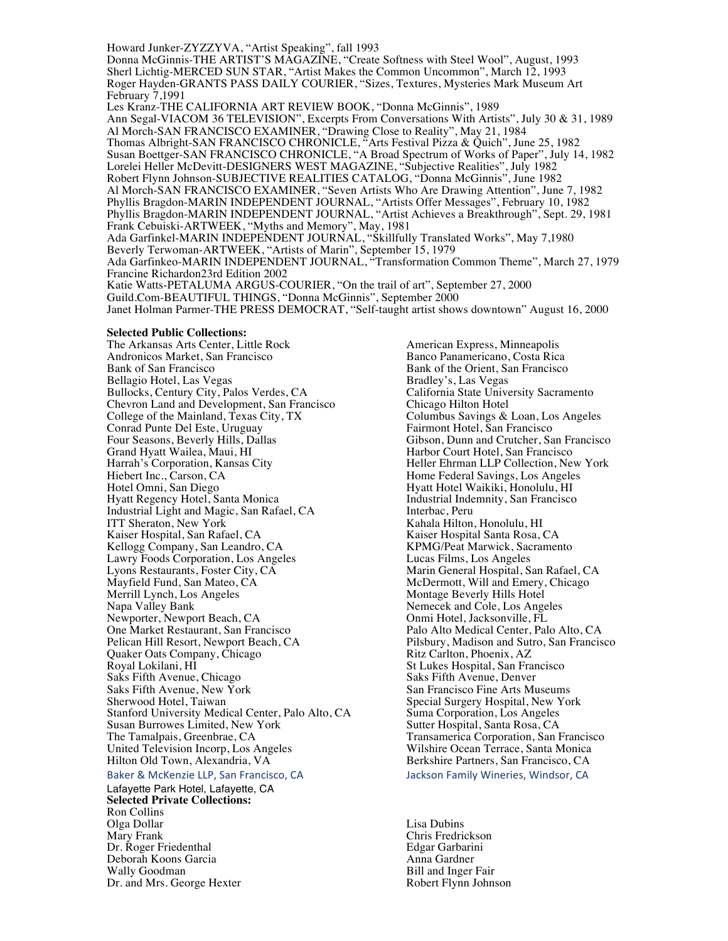Howard Junker-ZYZZYVA, "Artist Speaking", fall 1993

Donna McGinnis-THE ARTIST'S MAGAZINE, "Create Softness with Steel Wool", August, 1993 Sherl Lichtig-MERCED SUN STAR, "Artist Makes the Common Uncommon", March 12, 1993 Roger Hayden-GRANTS PASS DAILY COURIER, "Sizes, Textures, Mysteries Mark Museum Art February 7,1991

Les Kranz-THE CALIFORNIA ART REVIEW BOOK, "Donna McGinnis", 1989 Ann Segal-VIACOM 36 TELEVISION", Excerpts From Conversations With Artists", July 30 & 31, 1989 Al Morch-SAN FRANCISCO EXAMINER, "Drawing Close to Reality", May 21, 1984 Thomas Albright-SAN FRANCISCO CHRONICLE, "Arts Festival Pizza & Quich", June 25, 1982 Susan Boettger-SAN FRANCISCO CHRONICLE, "A Broad Spectrum of Works of Paper", July 14, 1982 Lorelei Heller McDevitt-DESIGNERS WEST MAGAZINE, "Subjective Realities", July 1982 Robert Flynn Johnson-SUBJECTIVE REALITIES CATALOG, "Donna McGinnis", June 1982 Al Morch-SAN FRANCISCO EXAMINER, "Seven Artists Who Are Drawing Attention", June 7, 1982 Phyllis Bragdon-MARIN INDEPENDENT JOURNAL, "Artists Offer Messages", February 10, 1982 Phyllis Bragdon-MARIN INDEPENDENT JOURNAL, "Artist Achieves a Breakthrough", Sept. 29, 1981 Frank Cebuiski-ARTWEEK, "Myths and Memory", May, 1981 Ada Garfinkel-MARIN INDEPENDENT JOURNAL, "Skillfully Translated Works", May 7,1980 Beverly Terwoman-ARTWEEK, "Artists of Marin", September 15, 1979 Ada Garfinkeo-MARIN INDEPENDENT JOURNAL, "Transformation Common Theme", March 27, 1979 Francine Richardon23rd Edition 2002

Katie Watts-PETALUMA ARGUS-COURIER, "On the trail of art", September 27, 2000

Guild.Com-BEAUTIFUL THINGS, "Donna McGinnis", September 2000

Janet Holman Parmer-THE PRESS DEMOCRAT, "Self-taught artist shows downtown" August 16, 2000

#### **Selected Public Collections:**

The Arkansas Arts Center, Little Rock American Express, Minneapolis Andronicos Market, San Francisco Banco Panamericano, Costa Rica Bank of San Francisco<br>Bellagio Hotel, Las Vegas<br>Bradley's, Las Vegas<br>Bradley's, Las Vegas Bellagio Hotel, Las Vegas Bradley's, Las Vegas Bullocks, Century City, Palos Verdes, CA California State University Chevron Land and Development, San Francisco Chicago Hilton Hotel Chevron Land and Development, San Francisco<br>
College of the Mainland, Texas City, TX<br>
Columbus Savings & Loan, Los Angeles College of the Mainland, Texas City, TX Columbus Savings & Loan, Lo<br>
Conrad Punte Del Este, Uruguay Fairmont Hotel, San Francisco Conrad Punte Del Este, Uruguay<br>Four Seasons, Beverly Hills, Dallas Four Seasons, Beverly Hills, Dallas Gibson, Dunn and Crutcher, San Francisco Grand Hyatt Wailea, Maui, HI **Harbor Court Hotel, San Francisco**<br>Harrah's Corporation, Kansas City **Heller Ehrman LLP Collection**, Ne Harrah's Corporation, Kansas City<br>
Heller Ehrman LLP Collection, New York<br>
Home Federal Savings, Los Angeles Hiebert Inc., Carson, CA **Home Federal Savings, Los Angeles**<br>Hotel Omni, San Diego **Home Federal Savings, Los Angeles**<br>Hyatt Hotel Waikiki, Honolulu, HI Hotel Omni, San Diego<br>Hyatt Regency Hotel, Santa Monica<br>Hyatt Regency Hotel, Santa Monica<br>Hotel Bandustrial Indemnity, San Francisco Industrial Light and Magic, San Rafael, CA ITT Sheraton, New York Kaiser Hospital, San Rafael, CA<br>
Kaiser Hospital Santa Rosa, CA<br>
KPMG/Peat Marwick, Sacramento Kellogg Company, San Leandro, CA KPMG/Peat Marwick, Sac<br>
Lawry Foods Corporation, Los Angeles Lucas Films, Los Angeles Lawry Foods Corporation, Los Angeles<br>Lyons Restaurants, Foster City, CA Mayfield Fund, San Mateo, CA and Solid and Emery, Chicago McDermott, Will and Emery, Chicago<br>Merrill Lynch, Los Angeles Merrill Lynch, Los Angeles<br>
Napa Valley Bank<br>
Napa Valley Bank<br>
Nemecek and Cole, Los Angeles Newporter, Newport Beach, CA Onmi Hotel, Jacksonville, FL<br>
One Market Restaurant, San Francisco (Dan Palo Alto Medical Center, Pal One Market Restaurant, San Francisco Palo Alto Medical Center, Palo Alto, CA Quaker Oats Company, Chicago<br>Royal Lokilani, HI Saks Fifth Avenue, Chicago Saks Fifth Avenue, New York San Francisco Fine Arts Museums<br>Sherwood Hotel, Taiwan Sherwood Hotel, Taiwan Stanford University Medical Center, Palo Alto, CA Suma Corporation, Los Angeles<br>Susan Burrowes Limited, New York Sutter Hospital, Santa Rosa, CA Susan Burrowes Limited, New York<br>The Tamalpais, Greenbrae, CA United Television Incorp, Los Angeles Hilton Old Town, Alexandria, VA Berkshire Partners, San Francisco, CA

Baker & McKenzie LLP, San Francisco, CA Sand Backson Family Wineries, Windsor, CA

Lafayette Park Hotel, Lafayette, CA **Selected Private Collections:** Ron Collins Olga Dollar Lisa Dubins Dr. Roger Friedenthal Deborah Koons Garcia Anna Gardner Wally Goodman Bill and Inger Fair<br>Dr. and Mrs. George Hexter Same Bill and Inger Fair Robert Flynn Johnson Dr. and Mrs. George Hexter

Industrial Indemnity, San Francisco<br>Interbac, Peru Kahala Hilton, Honolulu, HI<br>Kaiser Hospital Santa Rosa, CA Marin General Hospital, San Rafael, CA Nemecek and Cole, Los Angeles Pilsbury, Madison and Sutro, San Francisco<br>Ritz Carlton, Phoenix, AZ St Lukes Hospital, San Francisco<br>Saks Fifth Avenue, Denver Special Surgery Hospital, New York<br>Suma Corporation, Los Angeles Transamerica Corporation, San Francisco<br>Wilshire Ocean Terrace, Santa Monica

Chris Fredrickson<br>Edgar Garbarini